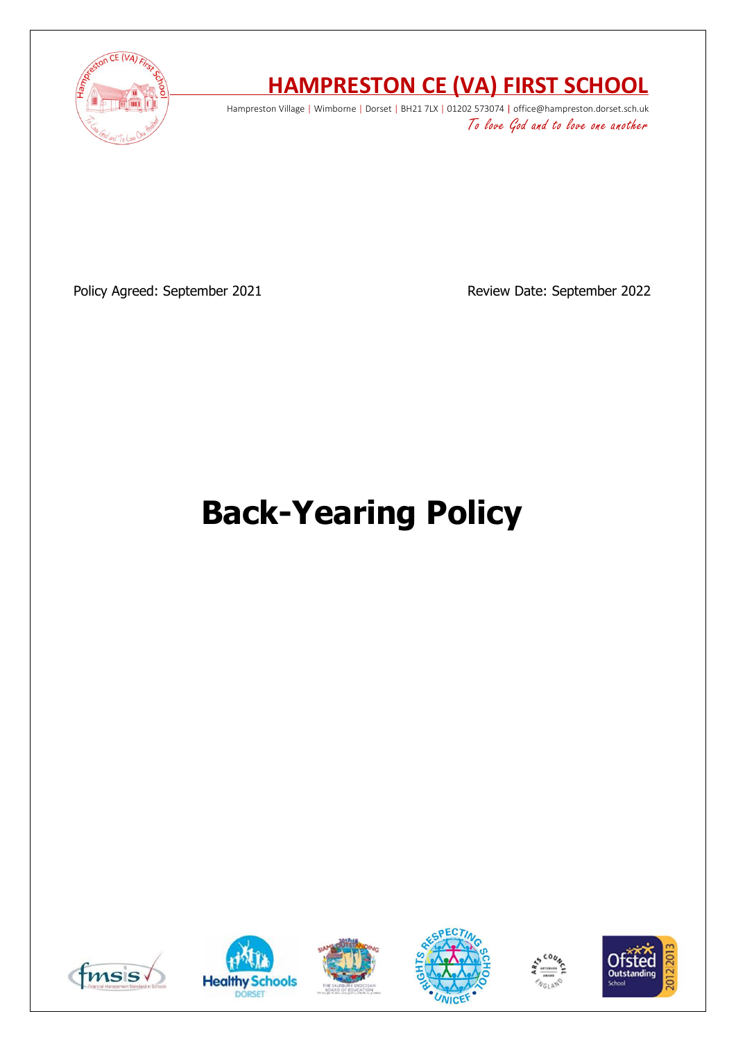

# **HAMPRESTON CE (VA) FIRST SCHOOL**

Hampreston Village | Wimborne | Dorset | BH21 7LX | 01202 573074 | office@hampreston.dorset.sch.uk To love God and to love one another

Policy Agreed: September 2021 **Review Date: September 2022** 

# **Back-Yearing Policy**











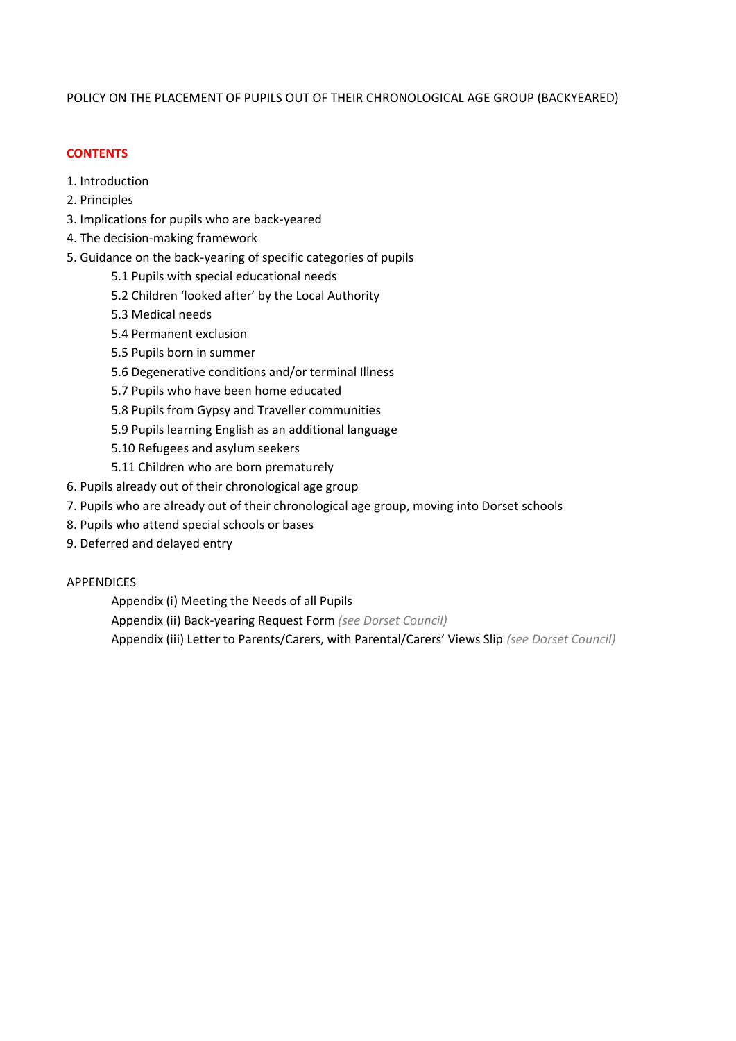# POLICY ON THE PLACEMENT OF PUPILS OUT OF THEIR CHRONOLOGICAL AGE GROUP (BACKYEARED)

# **CONTENTS**

- 1. Introduction
- 2. Principles
- 3. Implications for pupils who are back-yeared
- 4. The decision-making framework
- 5. Guidance on the back-yearing of specific categories of pupils
	- 5.1 Pupils with special educational needs
	- 5.2 Children 'looked after' by the Local Authority
	- 5.3 Medical needs
	- 5.4 Permanent exclusion
	- 5.5 Pupils born in summer
	- 5.6 Degenerative conditions and/or terminal Illness
	- 5.7 Pupils who have been home educated
	- 5.8 Pupils from Gypsy and Traveller communities
	- 5.9 Pupils learning English as an additional language
	- 5.10 Refugees and asylum seekers
	- 5.11 Children who are born prematurely
- 6. Pupils already out of their chronological age group
- 7. Pupils who are already out of their chronological age group, moving into Dorset schools
- 8. Pupils who attend special schools or bases
- 9. Deferred and delayed entry

# APPENDICES

Appendix (i) Meeting the Needs of all Pupils Appendix (ii) Back-yearing Request Form *(see Dorset Council)* Appendix (iii) Letter to Parents/Carers, with Parental/Carers' Views Slip *(see Dorset Council)*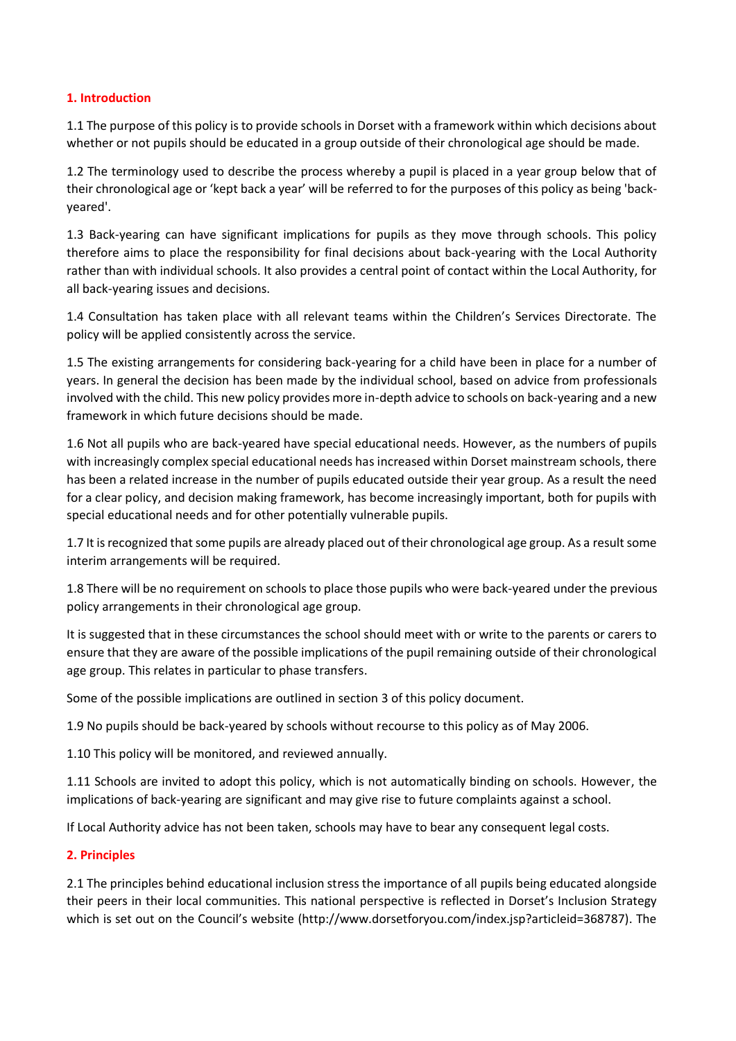# **1. Introduction**

1.1 The purpose of this policy is to provide schools in Dorset with a framework within which decisions about whether or not pupils should be educated in a group outside of their chronological age should be made.

1.2 The terminology used to describe the process whereby a pupil is placed in a year group below that of their chronological age or 'kept back a year' will be referred to for the purposes of this policy as being 'backyeared'.

1.3 Back-yearing can have significant implications for pupils as they move through schools. This policy therefore aims to place the responsibility for final decisions about back-yearing with the Local Authority rather than with individual schools. It also provides a central point of contact within the Local Authority, for all back-yearing issues and decisions.

1.4 Consultation has taken place with all relevant teams within the Children's Services Directorate. The policy will be applied consistently across the service.

1.5 The existing arrangements for considering back-yearing for a child have been in place for a number of years. In general the decision has been made by the individual school, based on advice from professionals involved with the child. This new policy provides more in-depth advice to schools on back-yearing and a new framework in which future decisions should be made.

1.6 Not all pupils who are back-yeared have special educational needs. However, as the numbers of pupils with increasingly complex special educational needs has increased within Dorset mainstream schools, there has been a related increase in the number of pupils educated outside their year group. As a result the need for a clear policy, and decision making framework, has become increasingly important, both for pupils with special educational needs and for other potentially vulnerable pupils.

1.7 It is recognized that some pupils are already placed out of their chronological age group. As a result some interim arrangements will be required.

1.8 There will be no requirement on schools to place those pupils who were back-yeared under the previous policy arrangements in their chronological age group.

It is suggested that in these circumstances the school should meet with or write to the parents or carers to ensure that they are aware of the possible implications of the pupil remaining outside of their chronological age group. This relates in particular to phase transfers.

Some of the possible implications are outlined in section 3 of this policy document.

1.9 No pupils should be back-yeared by schools without recourse to this policy as of May 2006.

1.10 This policy will be monitored, and reviewed annually.

1.11 Schools are invited to adopt this policy, which is not automatically binding on schools. However, the implications of back-yearing are significant and may give rise to future complaints against a school.

If Local Authority advice has not been taken, schools may have to bear any consequent legal costs.

# **2. Principles**

2.1 The principles behind educational inclusion stress the importance of all pupils being educated alongside their peers in their local communities. This national perspective is reflected in Dorset's Inclusion Strategy which is set out on the Council's website (http://www.dorsetforyou.com/index.jsp?articleid=368787). The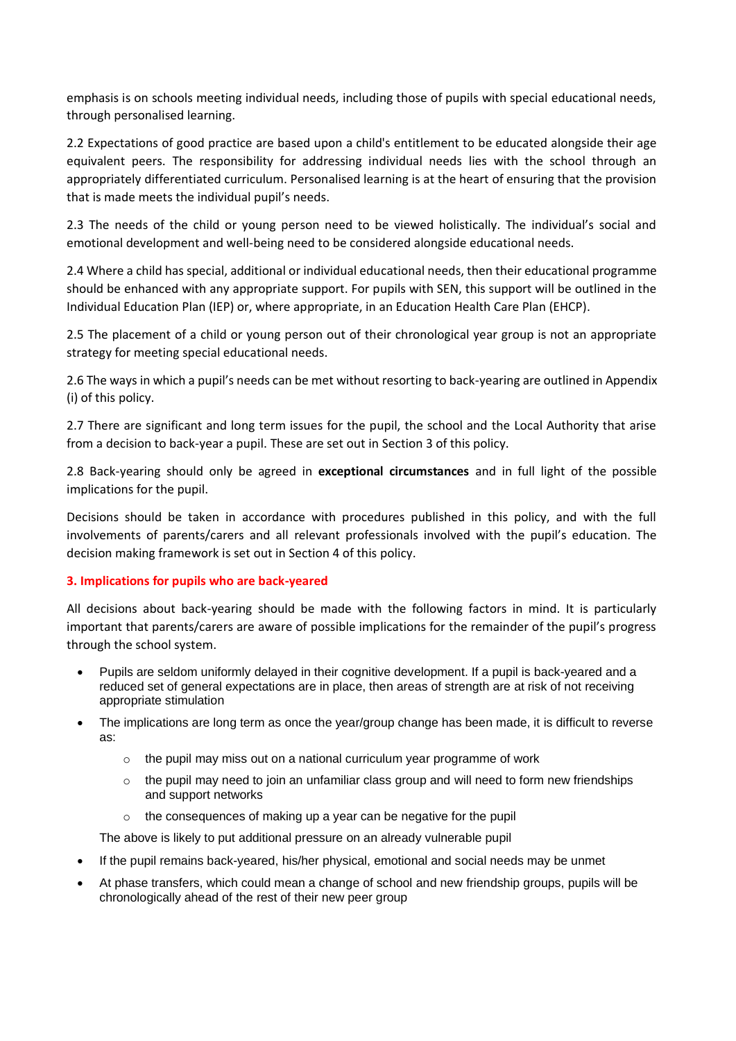emphasis is on schools meeting individual needs, including those of pupils with special educational needs, through personalised learning.

2.2 Expectations of good practice are based upon a child's entitlement to be educated alongside their age equivalent peers. The responsibility for addressing individual needs lies with the school through an appropriately differentiated curriculum. Personalised learning is at the heart of ensuring that the provision that is made meets the individual pupil's needs.

2.3 The needs of the child or young person need to be viewed holistically. The individual's social and emotional development and well-being need to be considered alongside educational needs.

2.4 Where a child has special, additional or individual educational needs, then their educational programme should be enhanced with any appropriate support. For pupils with SEN, this support will be outlined in the Individual Education Plan (IEP) or, where appropriate, in an Education Health Care Plan (EHCP).

2.5 The placement of a child or young person out of their chronological year group is not an appropriate strategy for meeting special educational needs.

2.6 The ways in which a pupil's needs can be met without resorting to back-yearing are outlined in Appendix (i) of this policy.

2.7 There are significant and long term issues for the pupil, the school and the Local Authority that arise from a decision to back-year a pupil. These are set out in Section 3 of this policy.

2.8 Back-yearing should only be agreed in **exceptional circumstances** and in full light of the possible implications for the pupil.

Decisions should be taken in accordance with procedures published in this policy, and with the full involvements of parents/carers and all relevant professionals involved with the pupil's education. The decision making framework is set out in Section 4 of this policy.

# **3. Implications for pupils who are back-yeared**

All decisions about back-yearing should be made with the following factors in mind. It is particularly important that parents/carers are aware of possible implications for the remainder of the pupil's progress through the school system.

- Pupils are seldom uniformly delayed in their cognitive development. If a pupil is back-yeared and a reduced set of general expectations are in place, then areas of strength are at risk of not receiving appropriate stimulation
- The implications are long term as once the year/group change has been made, it is difficult to reverse as:
	- o the pupil may miss out on a national curriculum year programme of work
	- $\circ$  the pupil may need to join an unfamiliar class group and will need to form new friendships and support networks
	- o the consequences of making up a year can be negative for the pupil

The above is likely to put additional pressure on an already vulnerable pupil

- If the pupil remains back-yeared, his/her physical, emotional and social needs may be unmet
- At phase transfers, which could mean a change of school and new friendship groups, pupils will be chronologically ahead of the rest of their new peer group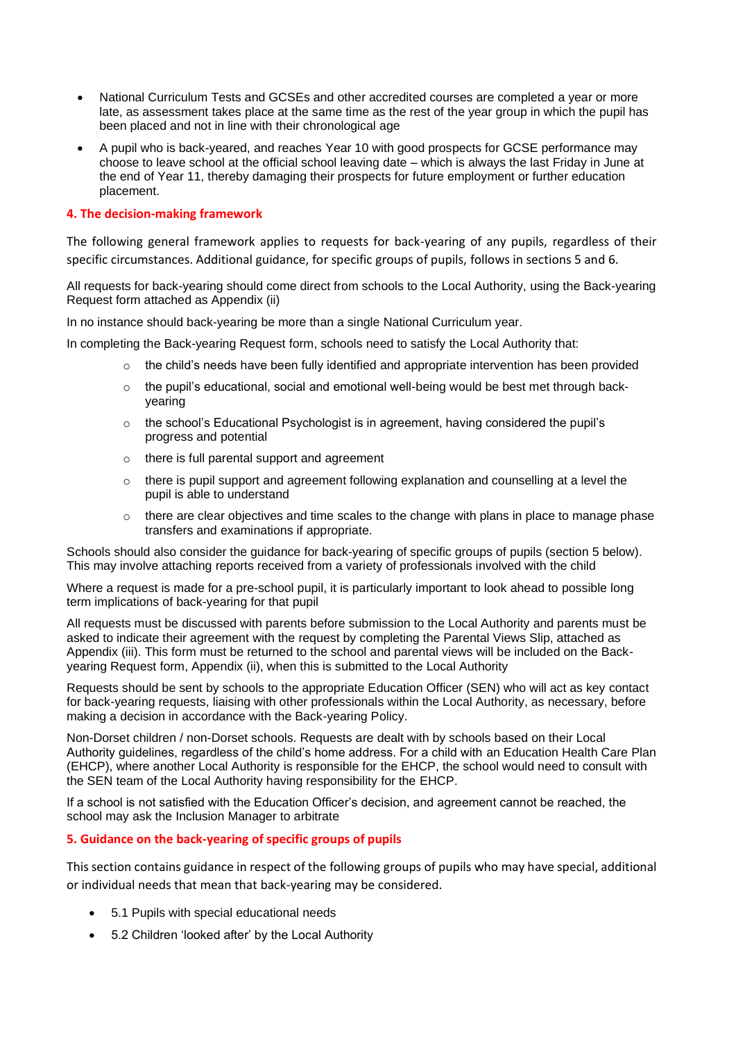- National Curriculum Tests and GCSEs and other accredited courses are completed a year or more late, as assessment takes place at the same time as the rest of the year group in which the pupil has been placed and not in line with their chronological age
- A pupil who is back-yeared, and reaches Year 10 with good prospects for GCSE performance may choose to leave school at the official school leaving date – which is always the last Friday in June at the end of Year 11, thereby damaging their prospects for future employment or further education placement.

# **4. The decision-making framework**

The following general framework applies to requests for back-yearing of any pupils, regardless of their specific circumstances. Additional guidance, for specific groups of pupils, follows in sections 5 and 6.

All requests for back-yearing should come direct from schools to the Local Authority, using the Back-yearing Request form attached as Appendix (ii)

In no instance should back-yearing be more than a single National Curriculum year.

In completing the Back-yearing Request form, schools need to satisfy the Local Authority that:

- $\circ$  the child's needs have been fully identified and appropriate intervention has been provided
- $\circ$  the pupil's educational, social and emotional well-being would be best met through backyearing
- $\circ$  the school's Educational Psychologist is in agreement, having considered the pupil's progress and potential
- o there is full parental support and agreement
- o there is pupil support and agreement following explanation and counselling at a level the pupil is able to understand
- o there are clear objectives and time scales to the change with plans in place to manage phase transfers and examinations if appropriate.

Schools should also consider the guidance for back-yearing of specific groups of pupils (section 5 below). This may involve attaching reports received from a variety of professionals involved with the child

Where a request is made for a pre-school pupil, it is particularly important to look ahead to possible long term implications of back-yearing for that pupil

All requests must be discussed with parents before submission to the Local Authority and parents must be asked to indicate their agreement with the request by completing the Parental Views Slip, attached as Appendix (iii). This form must be returned to the school and parental views will be included on the Backyearing Request form, Appendix (ii), when this is submitted to the Local Authority

Requests should be sent by schools to the appropriate Education Officer (SEN) who will act as key contact for back-yearing requests, liaising with other professionals within the Local Authority, as necessary, before making a decision in accordance with the Back-yearing Policy.

Non-Dorset children / non-Dorset schools. Requests are dealt with by schools based on their Local Authority guidelines, regardless of the child's home address. For a child with an Education Health Care Plan (EHCP), where another Local Authority is responsible for the EHCP, the school would need to consult with the SEN team of the Local Authority having responsibility for the EHCP.

If a school is not satisfied with the Education Officer's decision, and agreement cannot be reached, the school may ask the Inclusion Manager to arbitrate

# **5. Guidance on the back-yearing of specific groups of pupils**

This section contains guidance in respect of the following groups of pupils who may have special, additional or individual needs that mean that back-yearing may be considered.

- 5.1 Pupils with special educational needs
- 5.2 Children 'looked after' by the Local Authority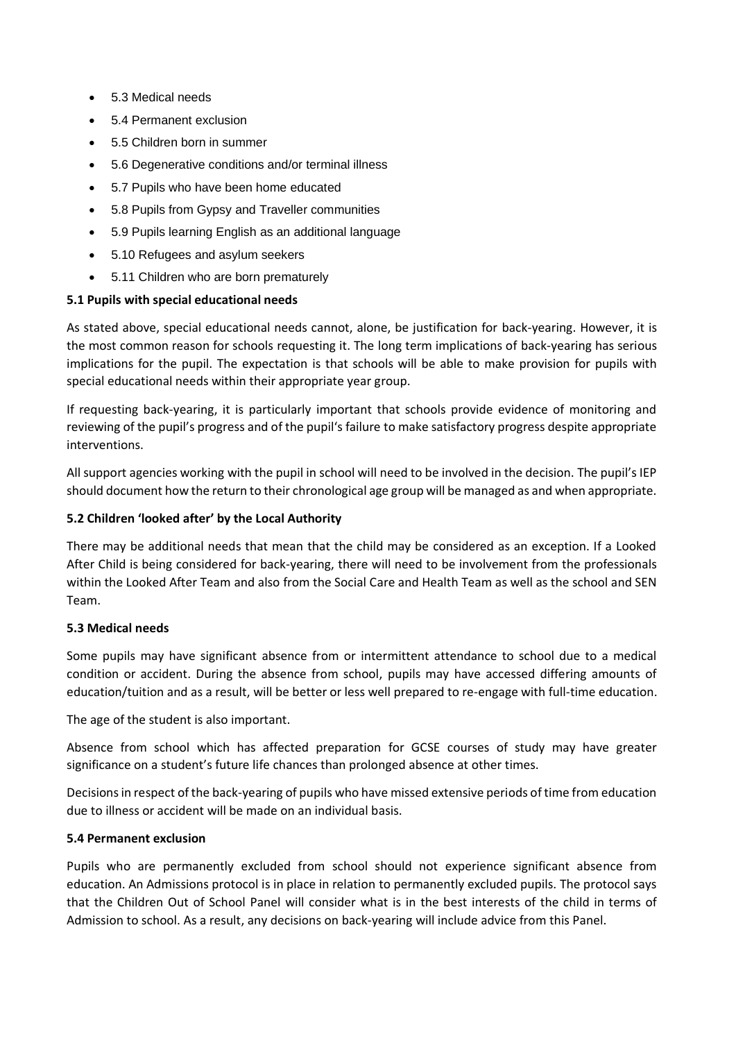- 5.3 Medical needs
- 5.4 Permanent exclusion
- 5.5 Children born in summer
- 5.6 Degenerative conditions and/or terminal illness
- 5.7 Pupils who have been home educated
- 5.8 Pupils from Gypsy and Traveller communities
- 5.9 Pupils learning English as an additional language
- 5.10 Refugees and asylum seekers
- 5.11 Children who are born prematurely

# **5.1 Pupils with special educational needs**

As stated above, special educational needs cannot, alone, be justification for back-yearing. However, it is the most common reason for schools requesting it. The long term implications of back-yearing has serious implications for the pupil. The expectation is that schools will be able to make provision for pupils with special educational needs within their appropriate year group.

If requesting back-yearing, it is particularly important that schools provide evidence of monitoring and reviewing of the pupil's progress and of the pupil's failure to make satisfactory progress despite appropriate interventions.

All support agencies working with the pupil in school will need to be involved in the decision. The pupil's IEP should document how the return to their chronological age group will be managed as and when appropriate.

# **5.2 Children 'looked after' by the Local Authority**

There may be additional needs that mean that the child may be considered as an exception. If a Looked After Child is being considered for back-yearing, there will need to be involvement from the professionals within the Looked After Team and also from the Social Care and Health Team as well as the school and SEN Team.

# **5.3 Medical needs**

Some pupils may have significant absence from or intermittent attendance to school due to a medical condition or accident. During the absence from school, pupils may have accessed differing amounts of education/tuition and as a result, will be better or less well prepared to re-engage with full-time education.

The age of the student is also important.

Absence from school which has affected preparation for GCSE courses of study may have greater significance on a student's future life chances than prolonged absence at other times.

Decisions in respect of the back-yearing of pupils who have missed extensive periods of time from education due to illness or accident will be made on an individual basis.

# **5.4 Permanent exclusion**

Pupils who are permanently excluded from school should not experience significant absence from education. An Admissions protocol is in place in relation to permanently excluded pupils. The protocol says that the Children Out of School Panel will consider what is in the best interests of the child in terms of Admission to school. As a result, any decisions on back-yearing will include advice from this Panel.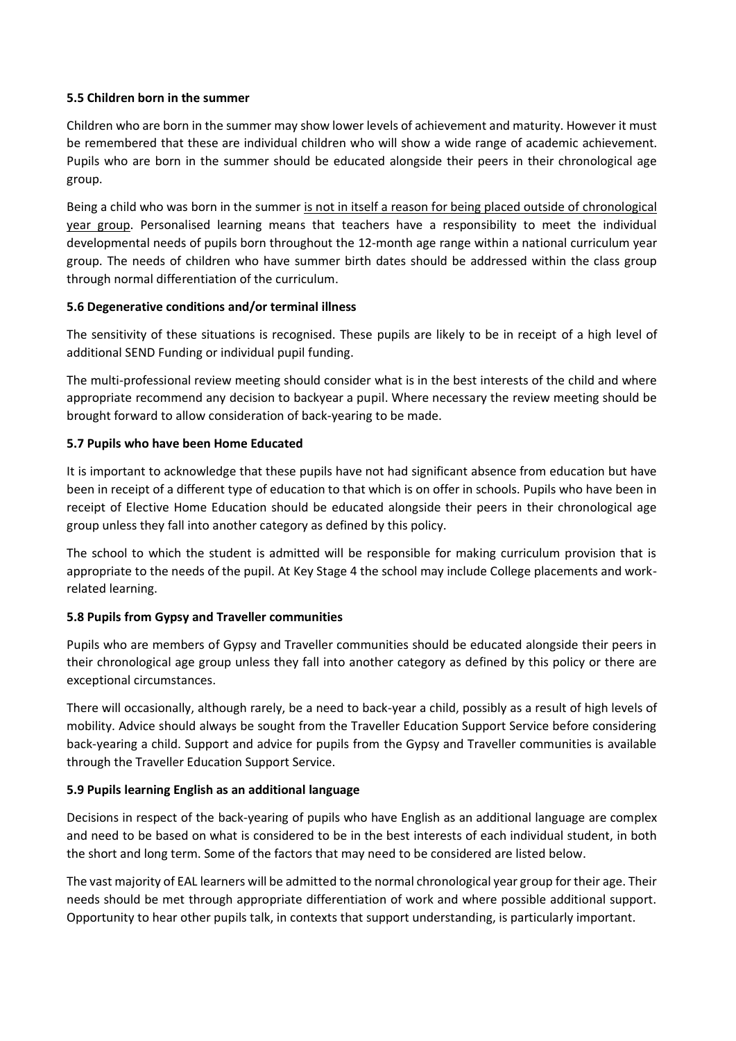# **5.5 Children born in the summer**

Children who are born in the summer may show lower levels of achievement and maturity. However it must be remembered that these are individual children who will show a wide range of academic achievement. Pupils who are born in the summer should be educated alongside their peers in their chronological age group.

Being a child who was born in the summer is not in itself a reason for being placed outside of chronological year group. Personalised learning means that teachers have a responsibility to meet the individual developmental needs of pupils born throughout the 12-month age range within a national curriculum year group. The needs of children who have summer birth dates should be addressed within the class group through normal differentiation of the curriculum.

# **5.6 Degenerative conditions and/or terminal illness**

The sensitivity of these situations is recognised. These pupils are likely to be in receipt of a high level of additional SEND Funding or individual pupil funding.

The multi-professional review meeting should consider what is in the best interests of the child and where appropriate recommend any decision to backyear a pupil. Where necessary the review meeting should be brought forward to allow consideration of back-yearing to be made.

# **5.7 Pupils who have been Home Educated**

It is important to acknowledge that these pupils have not had significant absence from education but have been in receipt of a different type of education to that which is on offer in schools. Pupils who have been in receipt of Elective Home Education should be educated alongside their peers in their chronological age group unless they fall into another category as defined by this policy.

The school to which the student is admitted will be responsible for making curriculum provision that is appropriate to the needs of the pupil. At Key Stage 4 the school may include College placements and workrelated learning.

# **5.8 Pupils from Gypsy and Traveller communities**

Pupils who are members of Gypsy and Traveller communities should be educated alongside their peers in their chronological age group unless they fall into another category as defined by this policy or there are exceptional circumstances.

There will occasionally, although rarely, be a need to back-year a child, possibly as a result of high levels of mobility. Advice should always be sought from the Traveller Education Support Service before considering back-yearing a child. Support and advice for pupils from the Gypsy and Traveller communities is available through the Traveller Education Support Service.

# **5.9 Pupils learning English as an additional language**

Decisions in respect of the back-yearing of pupils who have English as an additional language are complex and need to be based on what is considered to be in the best interests of each individual student, in both the short and long term. Some of the factors that may need to be considered are listed below.

The vast majority of EAL learners will be admitted to the normal chronological year group for their age. Their needs should be met through appropriate differentiation of work and where possible additional support. Opportunity to hear other pupils talk, in contexts that support understanding, is particularly important.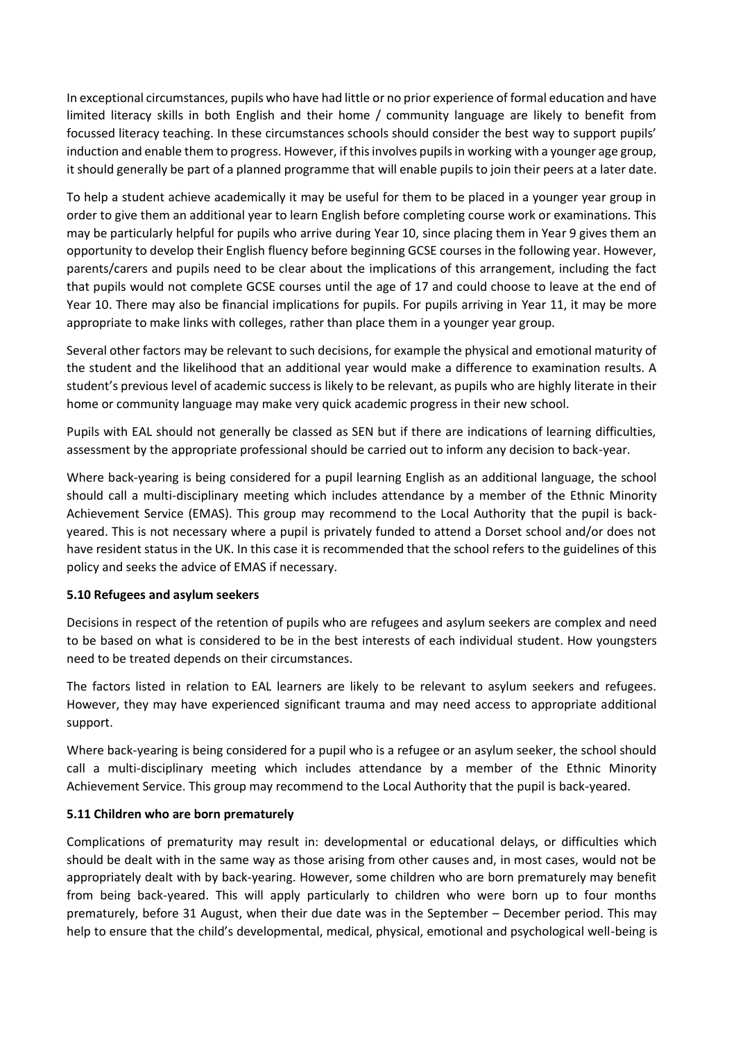In exceptional circumstances, pupils who have had little or no prior experience of formal education and have limited literacy skills in both English and their home / community language are likely to benefit from focussed literacy teaching. In these circumstances schools should consider the best way to support pupils' induction and enable them to progress. However, if this involves pupils in working with a younger age group, it should generally be part of a planned programme that will enable pupils to join their peers at a later date.

To help a student achieve academically it may be useful for them to be placed in a younger year group in order to give them an additional year to learn English before completing course work or examinations. This may be particularly helpful for pupils who arrive during Year 10, since placing them in Year 9 gives them an opportunity to develop their English fluency before beginning GCSE courses in the following year. However, parents/carers and pupils need to be clear about the implications of this arrangement, including the fact that pupils would not complete GCSE courses until the age of 17 and could choose to leave at the end of Year 10. There may also be financial implications for pupils. For pupils arriving in Year 11, it may be more appropriate to make links with colleges, rather than place them in a younger year group.

Several other factors may be relevant to such decisions, for example the physical and emotional maturity of the student and the likelihood that an additional year would make a difference to examination results. A student's previous level of academic success is likely to be relevant, as pupils who are highly literate in their home or community language may make very quick academic progress in their new school.

Pupils with EAL should not generally be classed as SEN but if there are indications of learning difficulties, assessment by the appropriate professional should be carried out to inform any decision to back-year.

Where back-yearing is being considered for a pupil learning English as an additional language, the school should call a multi-disciplinary meeting which includes attendance by a member of the Ethnic Minority Achievement Service (EMAS). This group may recommend to the Local Authority that the pupil is backyeared. This is not necessary where a pupil is privately funded to attend a Dorset school and/or does not have resident status in the UK. In this case it is recommended that the school refers to the guidelines of this policy and seeks the advice of EMAS if necessary.

# **5.10 Refugees and asylum seekers**

Decisions in respect of the retention of pupils who are refugees and asylum seekers are complex and need to be based on what is considered to be in the best interests of each individual student. How youngsters need to be treated depends on their circumstances.

The factors listed in relation to EAL learners are likely to be relevant to asylum seekers and refugees. However, they may have experienced significant trauma and may need access to appropriate additional support.

Where back-yearing is being considered for a pupil who is a refugee or an asylum seeker, the school should call a multi-disciplinary meeting which includes attendance by a member of the Ethnic Minority Achievement Service. This group may recommend to the Local Authority that the pupil is back-yeared.

# **5.11 Children who are born prematurely**

Complications of prematurity may result in: developmental or educational delays, or difficulties which should be dealt with in the same way as those arising from other causes and, in most cases, would not be appropriately dealt with by back-yearing. However, some children who are born prematurely may benefit from being back-yeared. This will apply particularly to children who were born up to four months prematurely, before 31 August, when their due date was in the September – December period. This may help to ensure that the child's developmental, medical, physical, emotional and psychological well-being is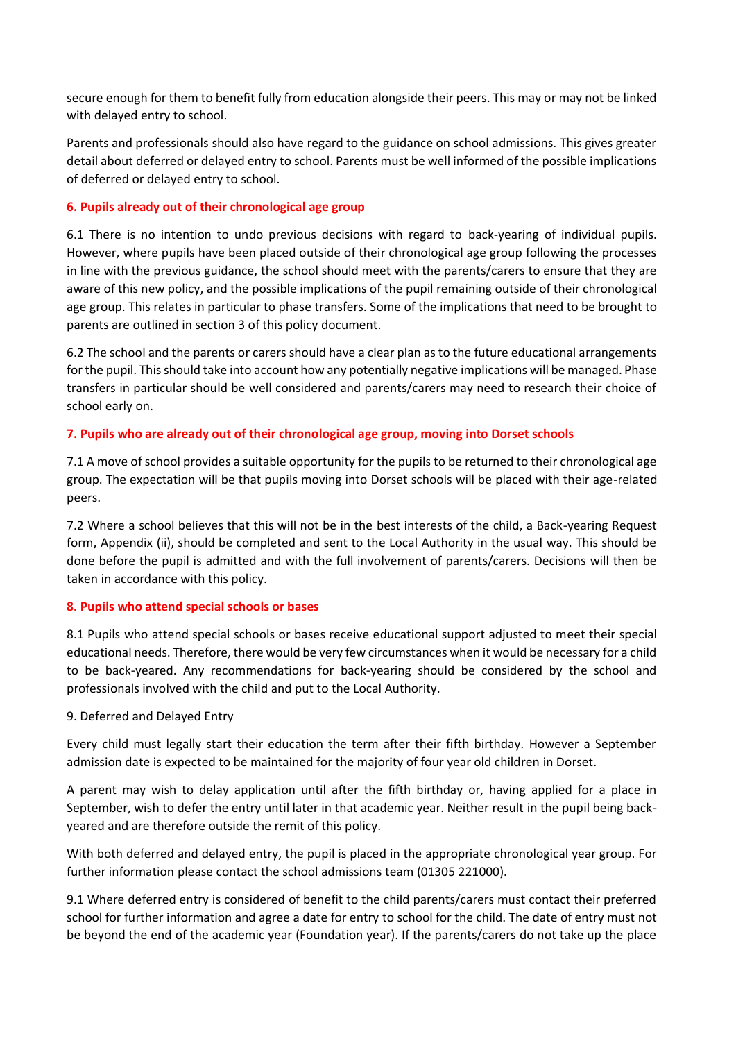secure enough for them to benefit fully from education alongside their peers. This may or may not be linked with delayed entry to school.

Parents and professionals should also have regard to the guidance on school admissions. This gives greater detail about deferred or delayed entry to school. Parents must be well informed of the possible implications of deferred or delayed entry to school.

# **6. Pupils already out of their chronological age group**

6.1 There is no intention to undo previous decisions with regard to back-yearing of individual pupils. However, where pupils have been placed outside of their chronological age group following the processes in line with the previous guidance, the school should meet with the parents/carers to ensure that they are aware of this new policy, and the possible implications of the pupil remaining outside of their chronological age group. This relates in particular to phase transfers. Some of the implications that need to be brought to parents are outlined in section 3 of this policy document.

6.2 The school and the parents or carers should have a clear plan as to the future educational arrangements for the pupil. This should take into account how any potentially negative implications will be managed. Phase transfers in particular should be well considered and parents/carers may need to research their choice of school early on.

# **7. Pupils who are already out of their chronological age group, moving into Dorset schools**

7.1 A move of school provides a suitable opportunity for the pupils to be returned to their chronological age group. The expectation will be that pupils moving into Dorset schools will be placed with their age-related peers.

7.2 Where a school believes that this will not be in the best interests of the child, a Back-yearing Request form, Appendix (ii), should be completed and sent to the Local Authority in the usual way. This should be done before the pupil is admitted and with the full involvement of parents/carers. Decisions will then be taken in accordance with this policy.

# **8. Pupils who attend special schools or bases**

8.1 Pupils who attend special schools or bases receive educational support adjusted to meet their special educational needs. Therefore, there would be very few circumstances when it would be necessary for a child to be back-yeared. Any recommendations for back-yearing should be considered by the school and professionals involved with the child and put to the Local Authority.

# 9. Deferred and Delayed Entry

Every child must legally start their education the term after their fifth birthday. However a September admission date is expected to be maintained for the majority of four year old children in Dorset.

A parent may wish to delay application until after the fifth birthday or, having applied for a place in September, wish to defer the entry until later in that academic year. Neither result in the pupil being backyeared and are therefore outside the remit of this policy.

With both deferred and delayed entry, the pupil is placed in the appropriate chronological year group. For further information please contact the school admissions team (01305 221000).

9.1 Where deferred entry is considered of benefit to the child parents/carers must contact their preferred school for further information and agree a date for entry to school for the child. The date of entry must not be beyond the end of the academic year (Foundation year). If the parents/carers do not take up the place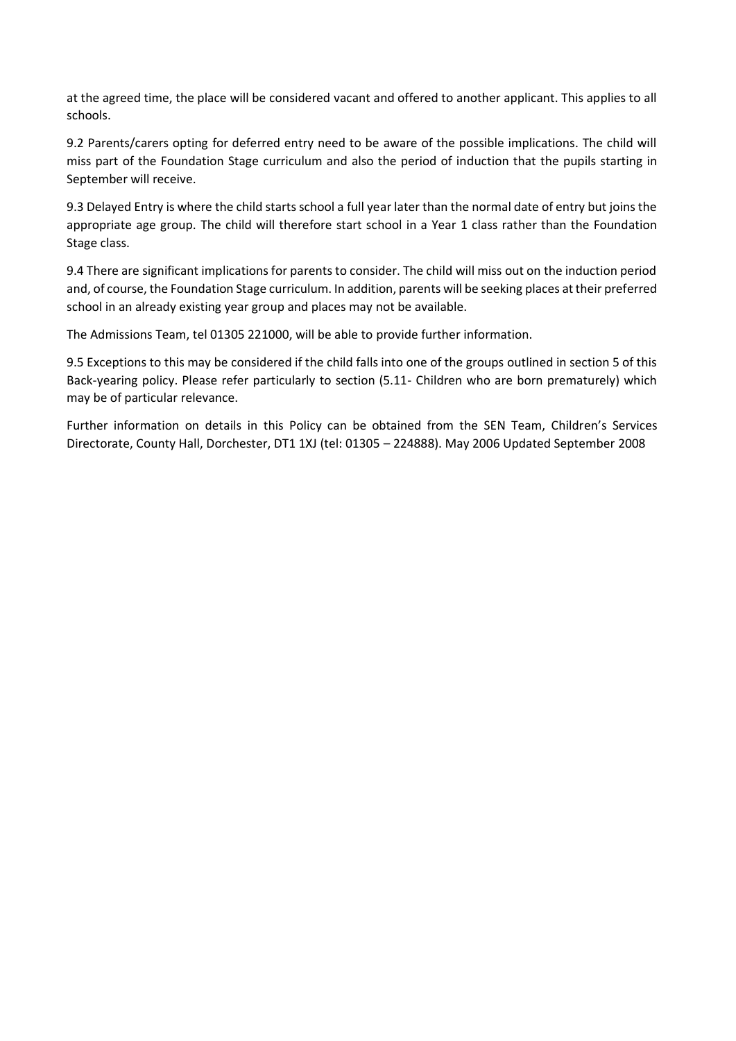at the agreed time, the place will be considered vacant and offered to another applicant. This applies to all schools.

9.2 Parents/carers opting for deferred entry need to be aware of the possible implications. The child will miss part of the Foundation Stage curriculum and also the period of induction that the pupils starting in September will receive.

9.3 Delayed Entry is where the child starts school a full year later than the normal date of entry but joins the appropriate age group. The child will therefore start school in a Year 1 class rather than the Foundation Stage class.

9.4 There are significant implications for parents to consider. The child will miss out on the induction period and, of course, the Foundation Stage curriculum. In addition, parents will be seeking places at their preferred school in an already existing year group and places may not be available.

The Admissions Team, tel 01305 221000, will be able to provide further information.

9.5 Exceptions to this may be considered if the child falls into one of the groups outlined in section 5 of this Back-yearing policy. Please refer particularly to section (5.11- Children who are born prematurely) which may be of particular relevance.

Further information on details in this Policy can be obtained from the SEN Team, Children's Services Directorate, County Hall, Dorchester, DT1 1XJ (tel: 01305 – 224888). May 2006 Updated September 2008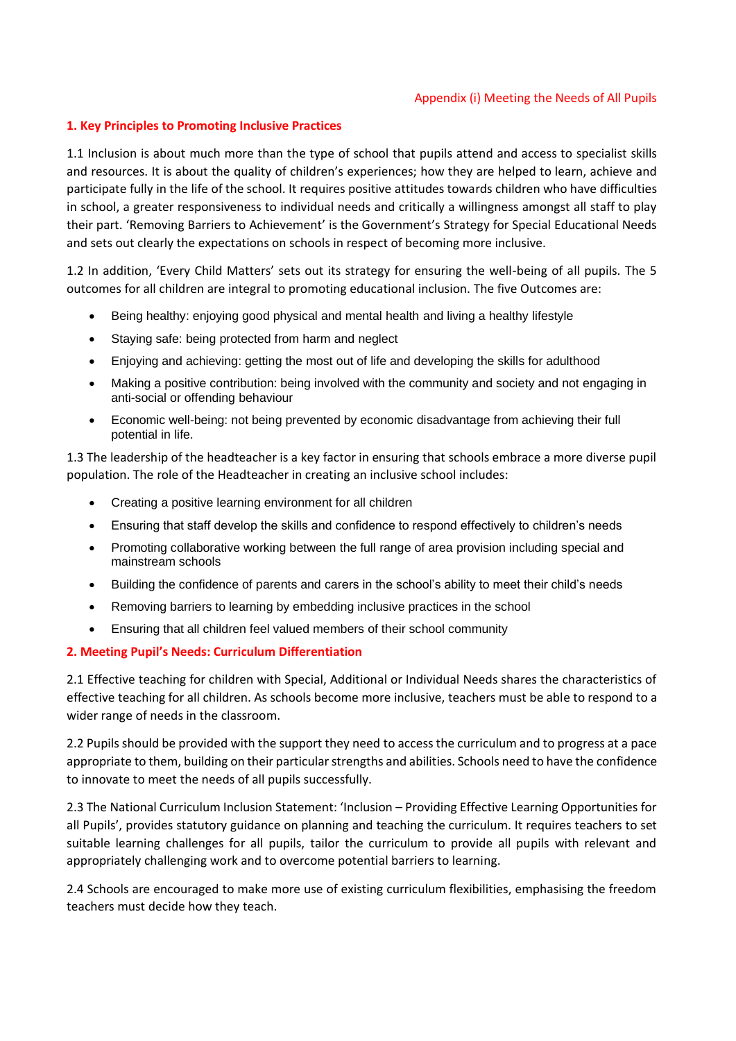#### Appendix (i) Meeting the Needs of All Pupils

# **1. Key Principles to Promoting Inclusive Practices**

1.1 Inclusion is about much more than the type of school that pupils attend and access to specialist skills and resources. It is about the quality of children's experiences; how they are helped to learn, achieve and participate fully in the life of the school. It requires positive attitudes towards children who have difficulties in school, a greater responsiveness to individual needs and critically a willingness amongst all staff to play their part. 'Removing Barriers to Achievement' is the Government's Strategy for Special Educational Needs and sets out clearly the expectations on schools in respect of becoming more inclusive.

1.2 In addition, 'Every Child Matters' sets out its strategy for ensuring the well-being of all pupils. The 5 outcomes for all children are integral to promoting educational inclusion. The five Outcomes are:

- Being healthy: enjoying good physical and mental health and living a healthy lifestyle
- Staying safe: being protected from harm and neglect
- Enjoying and achieving: getting the most out of life and developing the skills for adulthood
- Making a positive contribution: being involved with the community and society and not engaging in anti-social or offending behaviour
- Economic well-being: not being prevented by economic disadvantage from achieving their full potential in life.

1.3 The leadership of the headteacher is a key factor in ensuring that schools embrace a more diverse pupil population. The role of the Headteacher in creating an inclusive school includes:

- Creating a positive learning environment for all children
- Ensuring that staff develop the skills and confidence to respond effectively to children's needs
- Promoting collaborative working between the full range of area provision including special and mainstream schools
- Building the confidence of parents and carers in the school's ability to meet their child's needs
- Removing barriers to learning by embedding inclusive practices in the school
- Ensuring that all children feel valued members of their school community

# **2. Meeting Pupil's Needs: Curriculum Differentiation**

2.1 Effective teaching for children with Special, Additional or Individual Needs shares the characteristics of effective teaching for all children. As schools become more inclusive, teachers must be able to respond to a wider range of needs in the classroom.

2.2 Pupils should be provided with the support they need to access the curriculum and to progress at a pace appropriate to them, building on their particular strengths and abilities. Schools need to have the confidence to innovate to meet the needs of all pupils successfully.

2.3 The National Curriculum Inclusion Statement: 'Inclusion – Providing Effective Learning Opportunities for all Pupils', provides statutory guidance on planning and teaching the curriculum. It requires teachers to set suitable learning challenges for all pupils, tailor the curriculum to provide all pupils with relevant and appropriately challenging work and to overcome potential barriers to learning.

2.4 Schools are encouraged to make more use of existing curriculum flexibilities, emphasising the freedom teachers must decide how they teach.